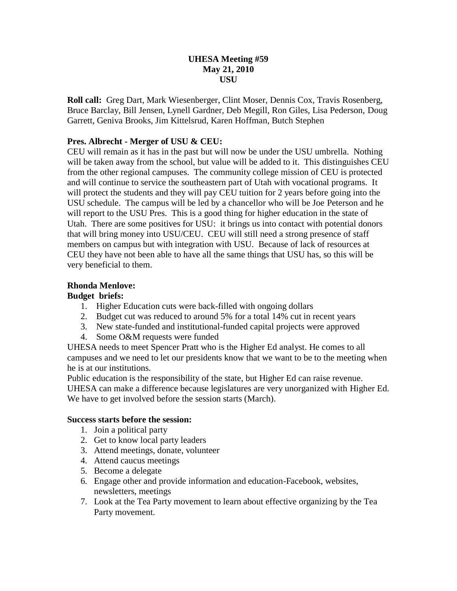### **UHESA Meeting #59 May 21, 2010 USU**

**Roll call:** Greg Dart, Mark Wiesenberger, Clint Moser, Dennis Cox, Travis Rosenberg, Bruce Barclay, Bill Jensen, Lynell Gardner, Deb Megill, Ron Giles, Lisa Pederson, Doug Garrett, Geniva Brooks, Jim Kittelsrud, Karen Hoffman, Butch Stephen

# **Pres. Albrecht - Merger of USU & CEU:**

CEU will remain as it has in the past but will now be under the USU umbrella. Nothing will be taken away from the school, but value will be added to it. This distinguishes CEU from the other regional campuses. The community college mission of CEU is protected and will continue to service the southeastern part of Utah with vocational programs. It will protect the students and they will pay CEU tuition for 2 years before going into the USU schedule. The campus will be led by a chancellor who will be Joe Peterson and he will report to the USU Pres. This is a good thing for higher education in the state of Utah. There are some positives for USU: it brings us into contact with potential donors that will bring money into USU/CEU. CEU will still need a strong presence of staff members on campus but with integration with USU. Because of lack of resources at CEU they have not been able to have all the same things that USU has, so this will be very beneficial to them.

# **Rhonda Menlove:**

### **Budget briefs:**

- 1. Higher Education cuts were back-filled with ongoing dollars
- 2. Budget cut was reduced to around 5% for a total 14% cut in recent years
- 3. New state-funded and institutional-funded capital projects were approved
- 4. Some O&M requests were funded

UHESA needs to meet Spencer Pratt who is the Higher Ed analyst. He comes to all campuses and we need to let our presidents know that we want to be to the meeting when he is at our institutions.

Public education is the responsibility of the state, but Higher Ed can raise revenue. UHESA can make a difference because legislatures are very unorganized with Higher Ed. We have to get involved before the session starts (March).

### **Success starts before the session:**

- 1. Join a political party
- 2. Get to know local party leaders
- 3. Attend meetings, donate, volunteer
- 4. Attend caucus meetings
- 5. Become a delegate
- 6. Engage other and provide information and education-Facebook, websites, newsletters, meetings
- 7. Look at the Tea Party movement to learn about effective organizing by the Tea Party movement.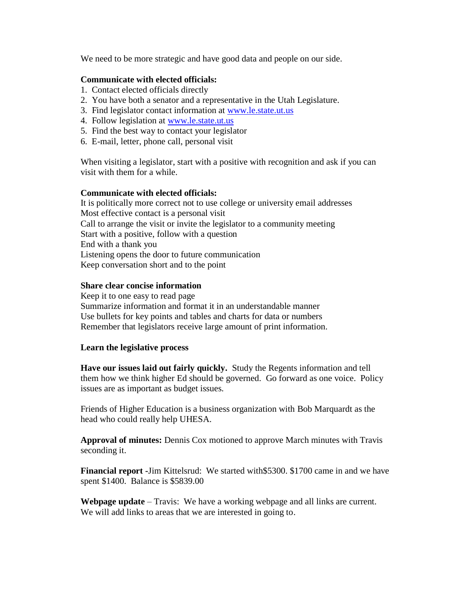We need to be more strategic and have good data and people on our side.

### **Communicate with elected officials:**

- 1. Contact elected officials directly
- 2. You have both a senator and a representative in the Utah Legislature.
- 3. Find legislator contact information at [www.le.state.ut.us](http://www.le.state.ut.us/)
- 4. Follow legislation at [www.le.state.ut.us](http://www.let.state.ut.us/)
- 5. Find the best way to contact your legislator
- 6. E-mail, letter, phone call, personal visit

When visiting a legislator, start with a positive with recognition and ask if you can visit with them for a while.

### **Communicate with elected officials:**

It is politically more correct not to use college or university email addresses Most effective contact is a personal visit Call to arrange the visit or invite the legislator to a community meeting Start with a positive, follow with a question End with a thank you Listening opens the door to future communication Keep conversation short and to the point

### **Share clear concise information**

Keep it to one easy to read page Summarize information and format it in an understandable manner Use bullets for key points and tables and charts for data or numbers Remember that legislators receive large amount of print information.

### **Learn the legislative process**

**Have our issues laid out fairly quickly.** Study the Regents information and tell them how we think higher Ed should be governed. Go forward as one voice. Policy issues are as important as budget issues.

Friends of Higher Education is a business organization with Bob Marquardt as the head who could really help UHESA.

**Approval of minutes:** Dennis Cox motioned to approve March minutes with Travis seconding it.

**Financial report -**Jim Kittelsrud: We started with\$5300. \$1700 came in and we have spent \$1400. Balance is \$5839.00

**Webpage update** – Travis: We have a working webpage and all links are current. We will add links to areas that we are interested in going to.